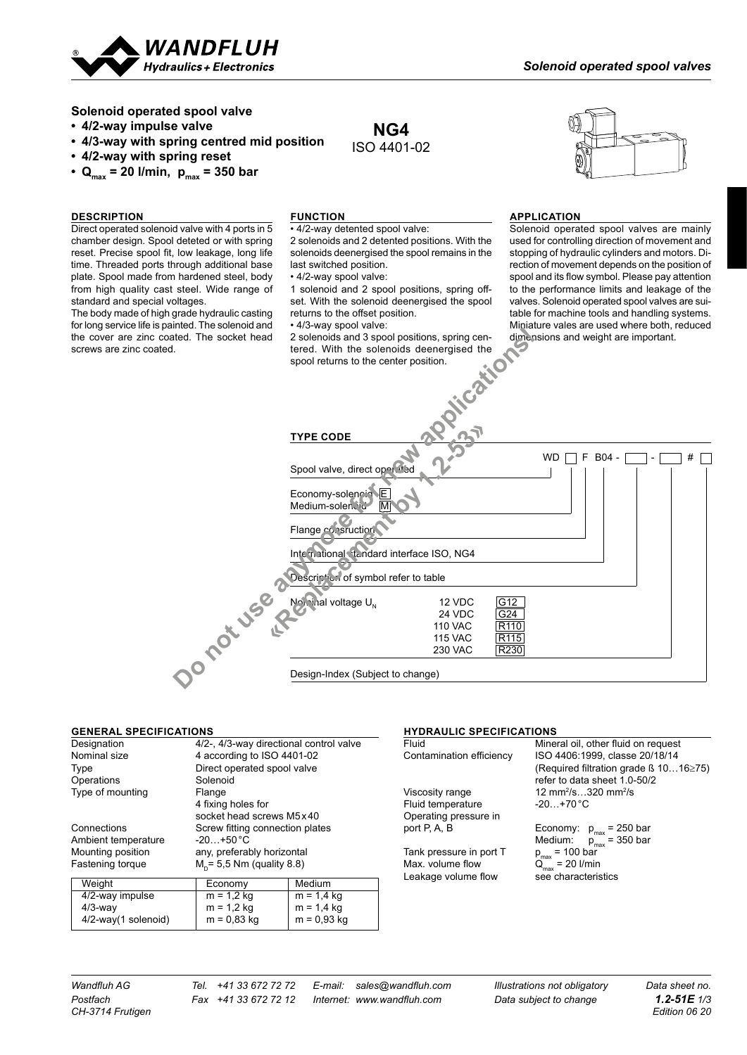

**Solenoid operated spool valve**

- **• 4/2-way impulse valve**
- **• 4/3-way with spring centred mid position**
- **• 4/2-way with spring reset**
- $Q_{\text{max}} = 20$  l/min,  $p_{\text{max}} = 350$  bar

## **DESCRIPTION**

Direct operated solenoid valve with 4 ports in 5 chamber design. Spool deteted or with spring reset. Precise spool fit, low leakage, long life time. Threaded ports through additional base plate. Spool made from hardened steel, body from high quality cast steel. Wide range of standard and special voltages.

The body made of high grade hydraulic casting for long service life is painted. The solenoid and the cover are zinc coated. The socket head screws are zinc coated.



#### **FUNCTION**

• 4/2-way detented spool valve: 2 solenoids and 2 detented positions. With the solenoids deenergised the spool remains in the last switched position.

**NG4** ISO 4401-02

• 4/2-way spool valve:

1 solenoid and 2 spool positions, spring offset. With the solenoid deenergised the spool returns to the offset position.

• 4/3-way spool valve:



#### **APPLICATION**

Solenoid operated spool valves are mainly used for controlling direction of movement and stopping of hydraulic cylinders and motors. Direction of movement depends on the position of spool and its flow symbol. Please pay attention to the performance limits and leakage of the valves. Solenoid operated spool valves are suitable for machine tools and handling systems. Miniature vales are used where both, reduced dimensions and weight are important.

| ated. The socket head | 2 solenoids and 3 spool positions, spring cen-<br>dimensions and weight are important.<br>tered. With the solenoids deenergised the<br>spool returns to the center position.<br>iticati |
|-----------------------|-----------------------------------------------------------------------------------------------------------------------------------------------------------------------------------------|
|                       | <b>TYPE CODE</b>                                                                                                                                                                        |
|                       | <b>WD</b><br>F<br>$B04 -$<br>#<br>Spool valve, direct open ted                                                                                                                          |
|                       | Economy-solencia E<br>Medium-solen.vid-<br>IM<br>Flange consruction                                                                                                                     |
|                       | International tandard interface ISO, NG4<br>Description of symbol refer to table                                                                                                        |
| not use o             | $N_{\odot}$ and voltage $U_{N}$<br>G12<br>12 VDC<br>G <sub>24</sub><br>24 VDC<br>R <sub>110</sub><br><b>110 VAC</b><br><b>115 VAC</b><br>R <sub>115</sub>                               |
|                       | R <sub>230</sub><br>230 VAC<br>Design-Index (Subject to change)                                                                                                                         |

#### **GENERAL SPECIFICATIONS**

| Designation         | 4/2-, 4/3-way directional control valve |        |  |
|---------------------|-----------------------------------------|--------|--|
| Nominal size        | 4 according to ISO 4401-02              |        |  |
| Type                | Direct operated spool valve             |        |  |
| Operations          | Solenoid                                |        |  |
| Type of mounting    | Flange                                  |        |  |
|                     | 4 fixing holes for                      |        |  |
|                     | socket head screws M5x40                |        |  |
| Connections         | Screw fitting connection plates         |        |  |
| Ambient temperature | $-20+50 °C$                             |        |  |
| Mounting position   | any, preferably horizontal              |        |  |
| Fastening torque    | $M_p = 5.5$ Nm (quality 8.8)            |        |  |
| Weight              | Economy                                 | Medium |  |

| <u>vveigin</u>            | <b>ECONOTIV</b> | <b>IVICUIUIII</b> |
|---------------------------|-----------------|-------------------|
| 4/2-way impulse           | $m = 1.2$ kg    | $m = 1.4$ kg      |
| $4/3$ -way                | $m = 1.2$ kg    | $m = 1.4$ kg      |
| $4/2$ -way $(1$ solenoid) | $m = 0.83$ kg   | m = 0,93 kg       |

### **HYDRAULIC SPECIFICATIONS**

Viscosity range 12 mm<sup>2</sup>/s...3<br>Fluid temperature 120...+70 °C Fluid temperature Operating pressure in<br>port P, A, B

Tank pressure in port T<br>Max. volume flow Max. volume flow  $Q_{\text{max}} = 20$  l/min Leakage volume flow see characteristics

Fluid **Mineral oil, other fluid on request** Contamination efficiency ISO 4406:1999, classe 20/18/14 (Required filtration grade ß 10…16≥75) refer to data sheet 1.0-50/2 /s…320 mm2 /s

> Economy:  $p_{max}$  = 250 bar Medium:  $p_{\text{max}} = 350$  bar

*CH-3714 Frutigen Edition 06 20*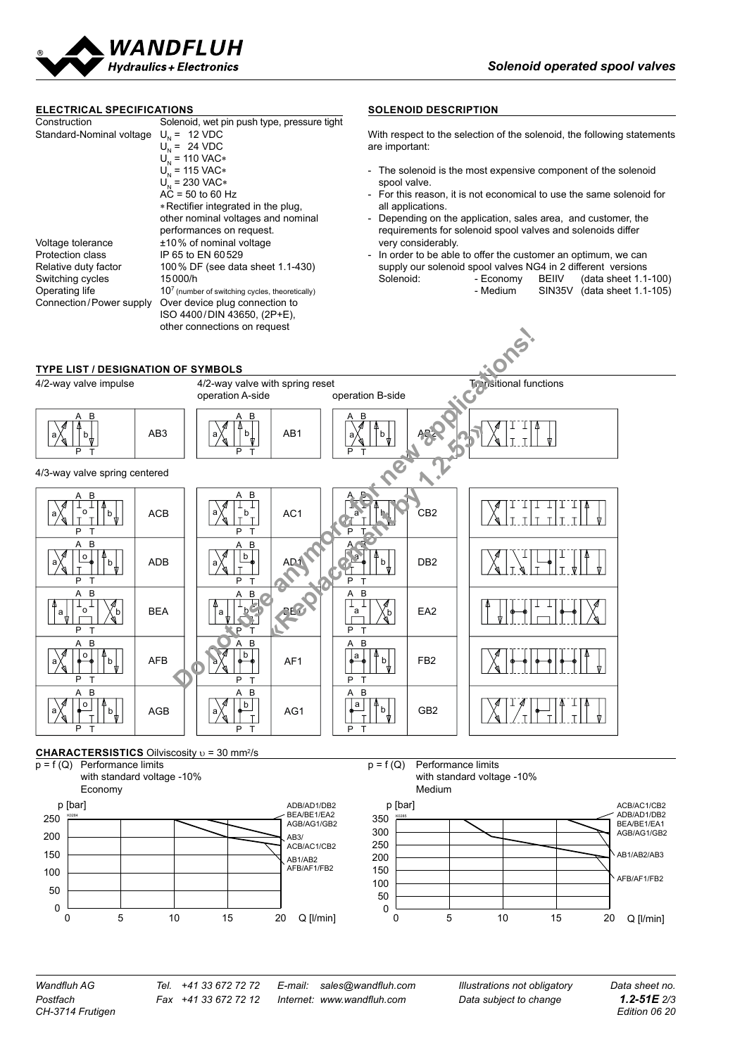



0 5 10 15 20 Q [I/min]

0 5 10 15 20 Q [I/min]